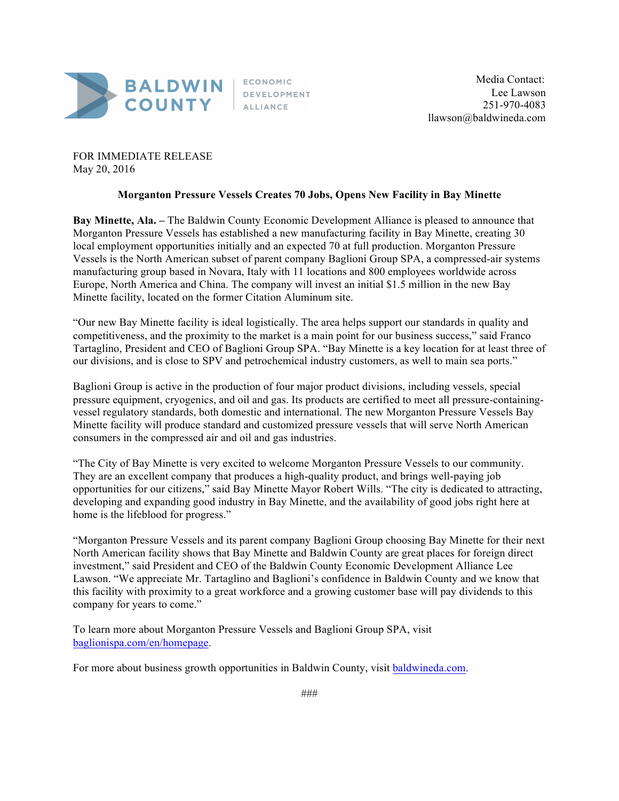

FOR IMMEDIATE RELEASE May 20, 2016

## **Morganton Pressure Vessels Creates 70 Jobs, Opens New Facility in Bay Minette**

**Bay Minette, Ala. –** The Baldwin County Economic Development Alliance is pleased to announce that Morganton Pressure Vessels has established a new manufacturing facility in Bay Minette, creating 30 local employment opportunities initially and an expected 70 at full production. Morganton Pressure Vessels is the North American subset of parent company Baglioni Group SPA, a compressed-air systems manufacturing group based in Novara, Italy with 11 locations and 800 employees worldwide across Europe, North America and China. The company will invest an initial \$1.5 million in the new Bay Minette facility, located on the former Citation Aluminum site.

"Our new Bay Minette facility is ideal logistically. The area helps support our standards in quality and competitiveness, and the proximity to the market is a main point for our business success," said Franco Tartaglino, President and CEO of Baglioni Group SPA. "Bay Minette is a key location for at least three of our divisions, and is close to SPV and petrochemical industry customers, as well to main sea ports."

Baglioni Group is active in the production of four major product divisions, including vessels, special pressure equipment, cryogenics, and oil and gas. Its products are certified to meet all pressure-containingvessel regulatory standards, both domestic and international. The new Morganton Pressure Vessels Bay Minette facility will produce standard and customized pressure vessels that will serve North American consumers in the compressed air and oil and gas industries.

"The City of Bay Minette is very excited to welcome Morganton Pressure Vessels to our community. They are an excellent company that produces a high-quality product, and brings well-paying job opportunities for our citizens," said Bay Minette Mayor Robert Wills. "The city is dedicated to attracting, developing and expanding good industry in Bay Minette, and the availability of good jobs right here at home is the lifeblood for progress."

"Morganton Pressure Vessels and its parent company Baglioni Group choosing Bay Minette for their next North American facility shows that Bay Minette and Baldwin County are great places for foreign direct investment," said President and CEO of the Baldwin County Economic Development Alliance Lee Lawson. "We appreciate Mr. Tartaglino and Baglioni's confidence in Baldwin County and we know that this facility with proximity to a great workforce and a growing customer base will pay dividends to this company for years to come."

To learn more about Morganton Pressure Vessels and Baglioni Group SPA, visit baglionispa.com/en/homepage.

For more about business growth opportunities in Baldwin County, visit baldwineda.com.